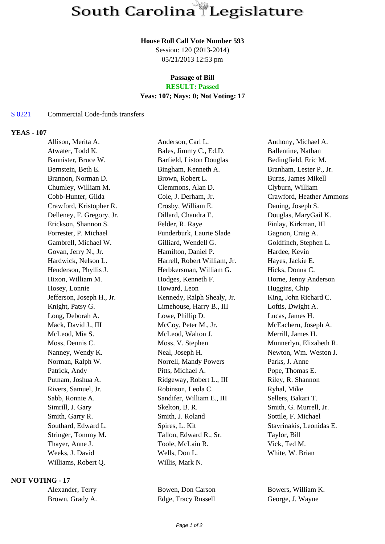#### **House Roll Call Vote Number 593**

Session: 120 (2013-2014) 05/21/2013 12:53 pm

# **Passage of Bill**

## **RESULT: Passed**

### **Yeas: 107; Nays: 0; Not Voting: 17**

### S 0221 Commercial Code-funds transfers

#### **YEAS - 107**

| Allison, Merita A.        | Anderson, Carl L.            | Anthony, Michael A.        |  |
|---------------------------|------------------------------|----------------------------|--|
| Atwater, Todd K.          | Bales, Jimmy C., Ed.D.       | Ballentine, Nathan         |  |
| Bannister, Bruce W.       | Barfield, Liston Douglas     | Bedingfield, Eric M.       |  |
| Bernstein, Beth E.        | Bingham, Kenneth A.          | Branham, Lester P., Jr.    |  |
| Brannon, Norman D.        | Brown, Robert L.             | <b>Burns, James Mikell</b> |  |
| Chumley, William M.       | Clemmons, Alan D.            | Clyburn, William           |  |
| Cobb-Hunter, Gilda        | Cole, J. Derham, Jr.         | Crawford, Heather Ammons   |  |
| Crawford, Kristopher R.   | Crosby, William E.           | Daning, Joseph S.          |  |
| Delleney, F. Gregory, Jr. | Dillard, Chandra E.          | Douglas, MaryGail K.       |  |
| Erickson, Shannon S.      | Felder, R. Raye              | Finlay, Kirkman, III       |  |
| Forrester, P. Michael     | Funderburk, Laurie Slade     | Gagnon, Craig A.           |  |
| Gambrell, Michael W.      | Gilliard, Wendell G.         | Goldfinch, Stephen L.      |  |
| Govan, Jerry N., Jr.      | Hamilton, Daniel P.          | Hardee, Kevin              |  |
| Hardwick, Nelson L.       | Harrell, Robert William, Jr. | Hayes, Jackie E.           |  |
| Henderson, Phyllis J.     | Herbkersman, William G.      | Hicks, Donna C.            |  |
| Hixon, William M.         | Hodges, Kenneth F.           | Horne, Jenny Anderson      |  |
| Hosey, Lonnie             | Howard, Leon                 | Huggins, Chip              |  |
| Jefferson, Joseph H., Jr. | Kennedy, Ralph Shealy, Jr.   | King, John Richard C.      |  |
| Knight, Patsy G.          | Limehouse, Harry B., III     | Loftis, Dwight A.          |  |
| Long, Deborah A.          | Lowe, Phillip D.             | Lucas, James H.            |  |
| Mack, David J., III       | McCoy, Peter M., Jr.         | McEachern, Joseph A.       |  |
| McLeod, Mia S.            | McLeod, Walton J.            | Merrill, James H.          |  |
| Moss, Dennis C.           | Moss, V. Stephen             | Munnerlyn, Elizabeth R.    |  |
| Nanney, Wendy K.          | Neal, Joseph H.              | Newton, Wm. Weston J.      |  |
| Norman, Ralph W.          | Norrell, Mandy Powers        | Parks, J. Anne             |  |
| Patrick, Andy             | Pitts, Michael A.            | Pope, Thomas E.            |  |
| Putnam, Joshua A.         | Ridgeway, Robert L., III     | Riley, R. Shannon          |  |
| Rivers, Samuel, Jr.       | Robinson, Leola C.           | Ryhal, Mike                |  |
| Sabb, Ronnie A.           | Sandifer, William E., III    | Sellers, Bakari T.         |  |
| Simrill, J. Gary          | Skelton, B. R.               | Smith, G. Murrell, Jr.     |  |
| Smith, Garry R.           | Smith, J. Roland             | Sottile, F. Michael        |  |
| Southard, Edward L.       | Spires, L. Kit               | Stavrinakis, Leonidas E.   |  |
| Stringer, Tommy M.        | Tallon, Edward R., Sr.       | Taylor, Bill               |  |
| Thayer, Anne J.           | Toole, McLain R.             | Vick, Ted M.               |  |
| Weeks, J. David           | Wells, Don L.                | White, W. Brian            |  |
| Williams, Robert Q.       | Willis, Mark N.              |                            |  |

### **NOT VOTING - 17**

| Alexander, Terry |  |  |
|------------------|--|--|
| Brown, Grady A.  |  |  |

Edge, Tracy Russell George, J. Wayne

Bowen, Don Carson Bowers, William K.